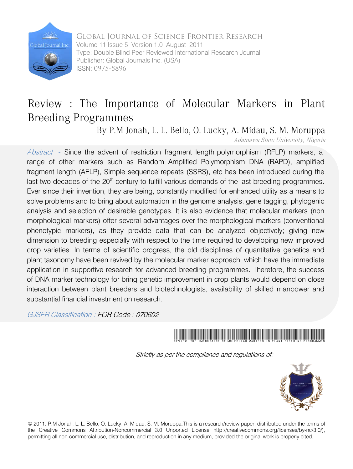

 Global Journal of Science Frontier Research Global Journal Inc. Volume 11 Issue 5 Version 1.0 August 2011 Type: Double Blind Peer Reviewed International Research Journal Publisher: Global Journals Inc. (USA) ISSN: 0975-5896

## Review : The Importance of Molecular Markers in Plant Breeding Programmes

By P.M Jonah, L. L. Bello, O. Lucky, A. Midau, S. M. Moruppa<br>Adamawa State University, Nigeria

Abstract - Since the advent of restriction fragment length polymorphism (RFLP) markers, a range of other markers such as Random Amplified Polymorphism DNA (RAPD), amplified fragment length (AFLP), Simple sequence repeats (SSRS), etc has been introduced during the last two decades of the  $20<sup>th</sup>$  century to fulfill various demands of the last breeding programmes. Ever since their invention, they are being, constantly modified for enhanced utility as a means to solve problems and to bring about automation in the genome analysis, gene tagging, phylogenic analysis and selection of desirable genotypes. It is also evidence that molecular markers (non morphological markers) offer several advantages over the morphological markers (conventional phenotypic markers), as they provide data that can be analyzed objectively; giving new dimension to breeding especially with respect to the time required to developing new improved crop varieties. In terms of scientific progress, the old disciplines of quantitative genetics and plant taxonomy have been revived by the molecular marker approach, which have the immediate application in supportive research for advanced breeding programmes. Therefore, the success of DNA marker technology for bring genetic improvement in crop plants would depend on close interaction between plant breeders and biotechnologists, availability of skilled manpower and substantial financial investment on research.

GJSFR Classification : FOR Code : 070602



Strictly as per the compliance and regulations of:



© 2011. P.M Jonah, L. L. Bello, O. Lucky, A. Midau, S. M. Moruppa.This is a research/review paper, distributed under the terms of the Creative Commons Attribution-Noncommercial 3.0 Unported License http://creativecommons.org/licenses/by-nc/3.0/), permitting all non-commercial use, distribution, and reproduction in any medium, provided the original work is properly cited.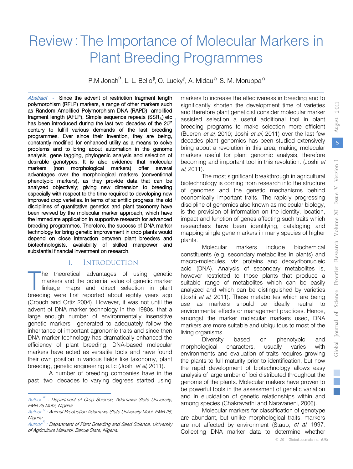2011

Global Journal of Science Frontier Research

Global Journal of

Science Frontier

Research

# Review: The Importance of Molecular Markers in Plant Breeding Programmes

P.M Jonah<sup>α</sup>, L. L. Bello<sup>β</sup>, O. Lucky<sup>β</sup>, A. Midau<sup>Ω</sup> S. M. Moruppa<sup>Ω</sup>

Abstract - Since the advent of restriction fragment length polymorphism (RFLP) markers, a range of other markers such as Random Amplified Polymorphism DNA (RAPD), amplified fragment length (AFLP), Simple sequence repeats  $(SSR<sub>s</sub>)$  etc has been introduced during the last two decades of the  $20<sup>th</sup>$ century to fulfill various demands of the last breeding programmes. Ever since their invention, they are being, constantly modified for enhanced utility as a means to solve problems and to bring about automation in the genome analysis, gene tagging, phylogenic analysis and selection of desirable genotypes. It is also evidence that molecular markers (non morphological markers) offer several advantages over the morphological markers (conventional phenotypic markers), as they provide data that can be analyzed objectively; giving new dimension to breeding especially with respect to the time required to developing new improved crop varieties. In terms of scientific progress, the old disciplines of quantitative genetics and plant taxonomy have been revived by the molecular marker approach, which have the immediate application in supportive research for advanced breeding programmes. Therefore, the success of DNA marker technology for bring genetic improvement in crop plants would depend on close interaction between plant breeders and biotechnologists, availability of skilled manpower and substantial financial investment on research.

## I. INTRODUCTION

he theoretical advantages of using genetic markers and the potential value of genetic marker linkage maps and direct selection in plant he theoretical advantages of using genetic markers and the potential value of genetic marker linkage maps and direct selection in plant breeding were first reported about eighty years ago (Crouch and Ortiz 2004). However, it was not until the advent of DNA marker technology in the 1980s, that a large enough number of environmentally insensitive genetic markers generated to adequately follow the inheritance of important agronomic traits and since then DNA marker technology has dramatically enhanced the efficiency of plant breeding. DNA-based molecular markers have acted as versatile tools and have found their own position in various fields like taxonomy, plant breeding, genetic engineering e.t.c (Joshi et al, 2011).

A number of breeding companies have in the past two decades to varying degrees started using

markers to increase the effectiveness in breeding and to significantly shorten the development time of varieties and therefore plant geneticist consider molecular marker assisted selection a useful additional tool in plant breeding programs to make selection more efficient (Bueren et al, 2010; Joshi et al, 2011) over the last few decades plant genomics has been studied extensively bring about a revolution in this area, making molecular markers useful for plant genomic analysis, therefore becoming and important tool in this revolution. (Joshi et al, 2011).

The most significant breakthrough in agricultural biotechnology is coming from research into the structure of genomes and the genetic mechanisms behind economically important traits. The rapidly progressing discipline of genomics also known as molecular biology, is the provision of information on the identity, location, impact and function of genes affecting such traits which researchers have been identifying, cataloging and mapping single gene markers in many species of higher plants.

Molecular markers include biochemical constituents (e.g. secondary metabolites in plants) and macro-molecules, viz proteins and deoxyribonucleic acid (DNA). Analysis of secondary metabolites is, however restricted to those plants that produce a suitable range of metabolites which can be easily analyzed and which can be distinguished by varieties (Joshi et al, 2011). These metabolites which are being use as markers should be ideally neutral to environmental effects or management practices. Hence, amongst the marker molecular markers used, DNA markers are more suitable and ubiquitous to most of the living organisms.

Diversity based on phenotypic and morphological characters, usually varies with environments and evaluation of traits requires growing the plants to full maturity prior to identification, but now the rapid development of biotechnology allows easy analysis of large umber of loci distributed throughout the genome of the plants. Molecular makers have proven to be powerful tools in the assessment of genetic variation and in elucidation of genetic relationships within and among species (Chakravarthi and Naravaneni, 2006).

Molecular markers for classification of genotype are abundant, but unlike morphological traits, markers are not affected by environment (Staub, et al, 1997. Collecting DNA marker data to determine whether

Author *α* : Department of Crop Science, Adamawa State University, PMB 25 Mubi, Nigeria.

Author<sup> Ω</sup> : Animal Production Adamawa State University Mubi, PMB 25, Nigeria.

Author *<sup>β</sup>* : Department of Plant Breeding and Seed Science, University of Agriculture Makurdi, Benue State, Nigeria.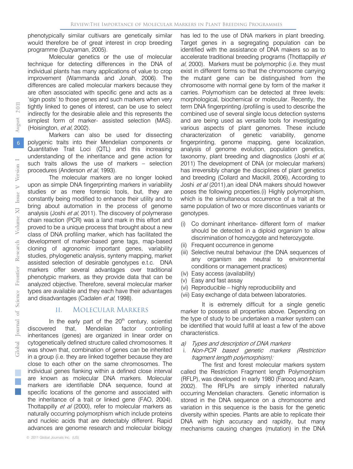phenotypically similar cultivars are genetically similar would therefore be of great interest in crop breeding programme (Duzyaman, 2005).

Molecular genetics or the use of molecular technique for detecting differences in the DNA of individual plants has many applications of value to crop improvement (Wammanda and Jonah, 2006). The differences are called molecular markers because they are often associated with specific gene and acts as a 'sign posts' to those genes and such markers when very tightly linked to genes of interest, can be use to select indirectly for the desirable allele and this represents the simplest form of marker- assisted selection (MAS). (Hoisington, et al, 2002).

Markers can also be used for dissecting polygenic traits into their Mendelian components or Quantitative Trait Loci (QTL) and this increasing understanding of the inheritance and gene action for such traits allows the use of markers – selection procedures (Anderson et al, 1993).

The molecular markers are no longer looked upon as simple DNA fingerprinting markers in variability studies or as mere forensic tools, but, they are constantly being modified to enhance their utility and to bring about automation in the process of genome analysis (Joshi et al, 2011). The discovery of polymerase chain reaction (PCR) was a land mark in this effort and proved to be a unique process that brought about a new class of DNA profiling marker, which has facilitated the development of marker-based gene tags, map-based cloning of agronomic important genes, variability studies, phylogenetic analysis, synteny mapping, market assisted selection of desirable genotypes e.t.c. DNA markers offer several advantages over traditional phenotypic markers, as they provide data that can be analyzed objective. Therefore, several molecular marker types are available and they each have their advantages and disadvantages (Cadalen et al, 1998).

#### II. MOLECULAR MARKERS

In the early part of the  $20<sup>th</sup>$  century, scientist discovered that, Mendelian factor controlling inheritances (genes) are organized in linear order on cytogenetically defined structure called chromosomes. It was shown that, combination of genes can be inherited in a group (i.e. they are linked together because they are close to each other on the same chromosomes. The individual genes flanking within a defined close interval are known as molecular DNA markers. Molecular markers are identifiable DNA sequence, found at specific locations of the genome and associated with the inheritance of a trait or linked gene (FAO, 2004). Thottappilly *et al* (2000), refer to molecular markers as naturally occurring polymorphism which include proteins and nucleic acids that are detectably different. Rapid advances are genome research and molecular biology

has led to the use of DNA markers in plant breeding. Target genes in a segregating population can be identified with the assistance of DNA makers so as to accelerate traditional breeding programs (Thottappilly et al, 2000). Markers must be polymorphic (i.e. they must exist in different forms so that the chromosome carrying the mutant gene can be distinguished from the chromosome with normal gene by form of the marker it carries. Polymorhism can be detected at three levels: morphological, biochemical or molecular. Recently, the term DNA fingerprinting /profiling is used to describe the combined use of several single locus detection systems and are being used as versatile tools for investigating various aspects of plant genomes. These include characterization of genetic variability, genome fingerprinting, genome mapping, gene localization, analysis of genome evolution, population genetics, taxonomy, plant breeding and diagnostics (Joshi et al, 2011) The development of DNA (or molecular markers) has irreversibly change the disciplines of plant genetics and breeding (Collard and Mackill, 2006), According to Joshi et al (2011), an ideal DNA makers should however poses the following properties.(i) Highly polymorphism, which is the simultaneous occurrence of a trait at the same population of two or more discontinues variants or genotypes.

- (i) Co dominant inheritance- different form of marker should be detected in a diploid organism to allow discrimination of homozygote and heterozygote.
- (ii) Frequent occurrence in genome
- (iii) Selective neutral behaviour (the DNA sequences of any organism are neutral to environmental conditions or management practices)
- (iv) Easy access (availability)
- (v) Easy and fast assay
- (vi) Reproducible highly reproducibility and
- (vii) Easy exchange of data between laboratories.

It is extremely difficult for a single genetic marker to possess all properties above. Depending on the type of study to be undertaken a marker system can be identified that would fulfill at least a few of the above characteristics.

a) Types and description of DNA markers

#### i. Non-PCR based genetic markers (Restriction fragment length polymorphism):

The first and forest molecular markers system called the Restriction Fragment length Polymorphism (RFLP), was developed in early 1980 (Farooq and Azam, 2002). The RFLPs are simply inherited naturally occurring Mendelian characters. Genetic information is stored in the DNA sequence on a chromosome and variation in this sequence is the basis for the genetic diversity within species. Plants are able to replicate their DNA with high accuracy and rapidity, but many mechanisms causing changes (mutation) in the DNA

Volume XI me XI Iss

Research

Science Frontier

Global Journal of

F.

ue vV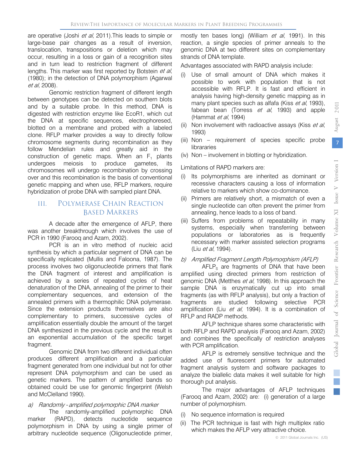are operative (Joshi et al, 2011). This leads to simple or large-base pair changes as a result of inversion, translocation, transpositions or deletion which may occur, resulting in a loss or gain of a recognition sites and in turn lead to restriction fragment of different lengths. This marker was first reported by Botstein et al, (1980); in the detection of DNA polymorphism (Agarwal et al, 2008).

Genomic restriction fragment of different length between genotypes can be detected on southern blots and by a suitable probe. In this method, DNA is digested with restriction enzyme like EcoR1, which cut the DNA at specific sequences, electrophoresed, blotted on a membrane and probed with a labeled clone. RFLP marker provides a way to directly follow chromosome segments during recombination as they follow Mendelian rules and greatly aid in the construction of genetic maps. When an  $F_1$  plants undergoes meiosis to produce gametes, its to produce gametes, its chromosomes will undergo recombination by crossing over and this recombination is the basis of conventional genetic mapping and when use, RFLP markers, require hybridization of probe DNA with sampled plant DNA.

## III. POLYMERASE CHAIN REACTION BASED MARKERS

A decade after the emergence of AFLP, there was another breakthrough which involves the use of PCR in 1990 (Farooq and Azam, 2002).

PCR is an in vitro method of nucleic acid synthesis by which a particular segment of DNA can be specifically replicated (Mullis and Faloona, 1987). The process involves two oligonucleotide primers that flank the DNA fragment of interest and amplification is achieved by a series of repeated cycles of heat denaturation of the DNA, annealing of the primer to their complementary sequences, and extension of the annealed primers with a thermophilic DNA polymerase. Since the extension products themselves are also complementary to primers, successive cycles of amplification essentially double the amount of the target DNA synthesized in the previous cycle and the result is an exponential accumulation of the specific target fragment.

Genomic DNA from two different individual often produces different amplification and a particular fragment generated from one individual but not for other represent DNA polymorphism and can be used as genetic markers. The pattern of amplified bands so obtained could be use for genomic fingerprint (Welsh and McClelland 1990).

#### a) Randomly - amplified polymorphic DNA marker

The randomly-amplified polymorphic DNA marker (RAPD), detects nucleotide sequence polymorphism in DNA by using a single primer of arbitrary nucleotide sequence (Oligonucleotide primer,

mostly ten bases long) (William et al, 1991). In this reaction, a single species of primer anneals to the genomic DNA at two different sites on complementary strands of DNA template.

Advantages associated with RAPD analysis include:

- (i) Use of small amount of DNA which makes it possible to work with population that is not accessible with RFLP. It is fast and efficient in analysis having high-density genetic mapping as in many plant species such as alfafa (Kiss *et al*, 1993), fabean bean (Torress et al, 1993) and apple (Hammat et al, 1994)
- (ii) Non involvement with radioactive assays (Kiss et al. 1993)
- (iii) Non requirement of species specific probe librararies
- (iv) Non involvement in blotting or hybridization.

### Limitations of RAPD markers are:

- (i) Its polymorphisms are inherited as dominant or recessive characters causing a loss of information relative to markers which show co-dominance.
- (ii) Primers are relatively short, a mismatch of even a single nucleotide can often prevent the primer from annealing, hence leads to a loss of band.
- (iii) Suffers from problems of repeatability in many systems, especially when transferring between populations or laboratories as is frequently necessary with marker assisted selection programs (Liu et al, 1994).

#### b) Amplified Fragment Length Polymorphism (AFLP)

 $AFLP_s$  are fragments of DNA that have been amplified using directed primers from restriction of genomic DNA (Metthes et al, 1998). In this approach the sample DNA is enzymatically cut up into small fragments (as with RFLP analysis), but only a fraction of fragments are studied following selective PCR amplification (Liu et al, 1994). It is a combination of RFLP and RADP methods.

AFLP technique shares some characteristic with both RFLP and RAPD analysis (Farooq and Azam, 2002) and combines the specifically of restriction analyses with PCR amplification.

AFLP is extremely sensitive technique and the added use of fluorescent primers for automated fragment analysis system and software packages to analyze the biallelic data makes it well suitable for high thorough put analysis.

The major advantages of AFLP techniques (Farooq and Azam, 2002) are: (i) generation of a large number of polymorphism.

- (i) No sequence information is required
- (ii) The PCR technique is fast with high multiplex ratio which makes the AFLP very attractive choice.

Global Journal of Science Frontier Research

Global Journal of Science Frontier

Volu

Research

me XI Iss

 $\overline{\text{X}}$ 

ue  $V$  Version  $I$ 

Issue V Version I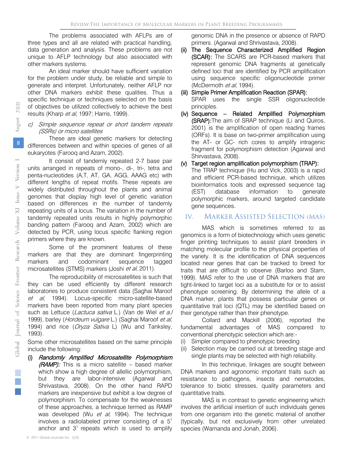The problems associated with AFLPs are of three types and all are related with practical handling, data generation and analysis. These problems are not unique to AFLP technology but also associated with other markers systems.

An ideal marker should have sufficient variation for the problem under study, be reliable and simple to generate and interpret. Unfortunately, neither AFLP nor other DNA markers exhibit these qualities. Thus a specific technique or techniques selected on the basis of objectives be utilized collectively to achieve the best results (Kharp et al, 1997; Harris, 1999).

#### c) Simple sequence repeat or short tandem repeats (SSRs) or micro satellites

These are ideal genetic markers for detecting differences between and within species of genes of all eukaryotes (Farooq and Azam, 2002).

It consist of tandemly repeated 2-7 base pair units arranged in repeats of mono-, di-, tri-, tetra and penta-nucleotides (A,T, AT, GA, AGG, AAAG etc) with different lengths of repeat motifs. These repeats are widely distributed throughout the plants and animal genomes that display high level of genetic variation based on differences in the number of tandemly repeating units of a locus. The variation in the number of tandemly repeated units results in highly polymorphic banding pattern (Farooq and Azam, 2002) which are detected by PCR, using locus specific flanking region primers where they are known.

Some of the prominent features of these markers are that they are dominant fingerprinting markers and codominant sequence tagged microsatellites (STMS) markers (Joshi et al, 2011).

The reproducibility of microsatellites is such that they can be used efficiently by different research laboratories to produce consistent data (Saghai Maroof et al, 1994). Locus-specific micro-satellite-based markers have been reported from many plant species such as Lettuce (Lactuca sativa L.) (Van de Wiel et a,/ 1999), barley (Hordeum vulgare L.) (Saghai Maroof et al, 1994) and rice (Oryza Sativa L) (Wu and Tanksley, 1993).

Some other microsatellites based on the same principle include the following:

(i) Randomly Amplified Microsatellite Polymorphism (RAMP): This is a micro satellite - based marker which show a high degree of allellic polymorphism, but they are labor-intensive (Agarwal and Shrivastava, 2008). On the other hand RAPD markers are inexpensive but exhibit a low degree of polymorphism. To compensate for the weaknesses of these approaches, a technique termed as RAMP was developed (Wu et al, 1994). The technique involves a radiolabeled primer consisting of a 51 anchor and  $3<sup>1</sup>$  repeats which is used to amplify

genomic DNA in the presence or absence of RAPD primers. (Agarwal and Shrivastava, 2008).

- (ii) The Sequence Characterized Amplified Region (SCAR): The SCARS are PCR-based markers that represent genomic DNA fragments at genetically defined loci that are identified by PCR amplification using sequence specific oligonucleotide primer (McDermoth et al, 1994).
- (iii) Simple Primer Amplification Reaction (SPAR): SPAR uses the single SSR oligonucleotide principles.
- (iv) Sequence Related Amplified Polymorphism (SRAP):The aim of SRAP technique (Li and Quiros, 2001) is the amplification of open reading frames (ORFs). It is base on two-primer amplification using the AT- or GC- rich cores to amplify intragenic fragment for polymorphism detection (Agarwal and Shirvastava, 2008).

#### (v) Target region amplification polymorphism (TRAP):

The TRAP technique (Hu and Vick, 2003) is a rapid and efficient PCR-based technique, which utilizes bioinformatics tools and expressed sequence tag (EST) database information to generate polymorphic markers, around targeted candidate gene sequences.

## IV. MARKER ASSISTED SELECTION (MAS)

MAS which is sometimes referred to as genomics is a form of biotechnology which uses genetic finger printing techniques to assist plant breeders in matching molecular profile to the physical properties of the variety. It is the identification of DNA sequences located near genes that can be tracked to breed for traits that are difficult to observe (Barloo and Stam, 1999). MAS refer to the use of DNA markers that are tight-linked to target loci as a substitute for or to assist phenotype screening. By determining the allele of a DNA marker, plants that possess particular genes or quantitative trait loci (QTL) may be identified based on their genotype rather than their phenotype.

Collard and Mackill (2006), reported the fundamental advantages of MAS compared to conventional phenotypic selection which are:-

- (i) Simpler compared to phenotypic breeding
- (ii) Selection may be carried out at breeding stage and single plants may be selected with high reliability.

In this technique, linkages are sought between DNA markers and agronomic important traits such as resistance to pathogens, insects and nematodes, tolerance to biotic stresses, quality parameters and quantitative traits.

MAS is in contrast to genetic engineering which involves the artificial insertion of such individuals genes from one organism into the genetic material of another (typically, but not exclusively from other unrelated species (Wamanda and Jonah, 2006).

2 011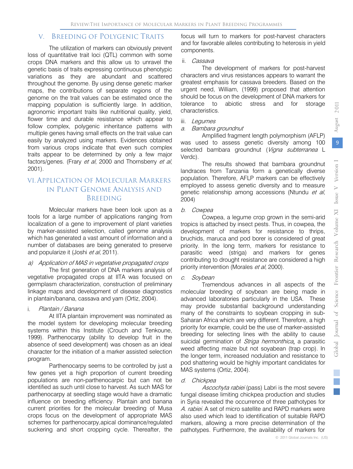## V. BREEDING OF POLYGENIC TRAITS

The utilization of markers can obviously prevent loss of quantitative trait loci (QTL) common with some crops DNA markers and this allow us to unravel the genetic basis of traits expressing continuous phenotypic variations as they are abundant and scattered throughout the genome. By using dense genetic marker maps, the contributions of separate regions of the genome on the trait values can be estimated once the mapping population is sufficiently large. In addition, agronomic important traits like nutritional quality, yield, flower time and durable resistance which appear to follow complex, polygenic inheritance patterns with multiple genes having small effects on the trait value can easily by analyzed using markers. Evidences obtained from various crops indicate that even such complex traits appear to be determined by only a few major factors/genes. (Frary et al, 2000 and Thornsberry et al, 2001).

## VI. APPLICATION OF MOLECULAR MARKERS IN PLANT GENOME ANALYSIS AND BREEDING

Molecular markers have been look upon as a tools for a large number of applications ranging from localization of a gene to improvement of plant varieties by marker-assisted selection, called genome analysis which has generated a vast amount of information and a number of databases are being generated to preserve and popularize it (Joshi et al, 2011).

#### a) Application of MAS in vegetative propagated crops

The first generation of DNA markers analysis of vegetative propagated crops at IITA was focused on germplasm characterization, construction of preliminary linkage maps and development of disease diagnostics in plantain/banana, cassava and yam (Ortiz, 2004).

#### i. Plantain / Banana

At IITA plantain improvement was nominated as the model system for developing molecular breeding systems within this Institute (Crouch and Tenkoune, 1999). Parthenocarpy (ability to develop fruit in the absence of seed development) was chosen as an ideal character for the initiation of a marker assisted selection program.

Parthenocarpy seems to be controlled by just a few genes yet a high proportion of current breeding populations are non-parthenocarpic but can not be identified as such until close to harvest. As such MAS for parthenocarpy at seedling stage would have a dramatic influence on breeding efficiency. Plantain and banana current priorities for the molecular breeding of Musa crops focus on the development of appropriate MAS schemes for parthenocarpy,apical dominance/regulated suckering and short cropping cycle. Thereafter, the

focus will turn to markers for post-harvest characters and for favorable alleles contributing to heterosis in yield components.

#### ii. Cassava

The development of markers for post-harvest characters and virus resistances appears to warrant the greatest emphasis for cassava breeders. Based on the urgent need, William, (1999) proposed that attention should be focus on the development of DNA markers for tolerance to abiotic stress and for storage characteristics.

iii. Legumes

#### a. Bambara groundnut

Amplified fragment length polymorphism (AFLP) was used to assess genetic diversity among 100 selected bambara groundnut (Vigna subterranea L Verdc).

The results showed that bambara groundnut landraces from Tanzania form a genetically diverse population. Therefore, AFLP markers can be effectively employed to assess genetic diversity and to measure genetic relationship among accessions (Ntundu et al, 2004)

#### b. Cowpea

Cowpea, a legume crop grown in the semi-arid tropics is attached by insect pests. Thus, in cowpea, the development of markers for resistance to thrips, bruchids, maruca and pod borer is considered of great priority. In the long term, markers for resistance to parasitic weed (striga) and markers for genes contributing to drought resistance are considered a high priority intervention (Morales et al, 2000).

#### c. Soybean

Tremendous advances in all aspects of the molecular breeding of soybean are being made in advanced laboratories particularly in the USA. These may provide substantial background understanding many of the constraints to soybean cropping in sub-Saharan Africa which are very different. Therefore, a high priority for example, could be the use of marker-assisted breeding for selecting lines with the ability to cause suicidal germination of Striga hermonthica, a parasitic weed affecting maize but not soyabean (trap crop). In the longer term, increased nodulation and resistance to pod shattering would be highly important candidates for MAS systems (Ortiz, 2004).

#### d. Chickpea

Ascochyta rabiei (pass) Labri is the most severe fungal disease limiting chickpea production and studies in Syria revealed the occurrence of three pathotypes for A. rabiei. A set of micro satellite and RAPD markers were also used which lead to identification of suitable RAPD markers, allowing a more precise determination of the pathotypes. Furthermore, the availability of markers for

2 011

August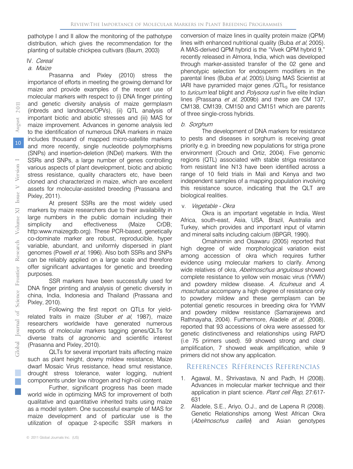pathotype I and II allow the monitoring of the pathotype distribution, which gives the recommendation for the planting of suitable chickpea cultivars (Baum, 2003)

#### IV. Cereal

#### a. Maize

Prasanna and Pixley (2010) stress the importance of efforts in meeting the growing demand for maize and provide examples of the recent use of molecular markers with respect to (i) DNA finger printing and genetic diversity analysis of maize germplasm (inbreds and landraces/OPVs), (ii) QTL analysis of important biotic and abiotic stresses and (iii) MAS for maize improvement. Advances in genome analysis led to the identification of numerous DNA markers in maize includes thousand of mapped micro-satellite markers and more recently, single nucleotide polymorphisms (SNPs) and insertion-deletion (INDel) markers. With the SSRs and SNPs, a large number of genes controlling various aspects of plant development, biotic and abiotic stress resistance, quality characters etc, have been cloned and characterized in maize, which are excellent assets for molecular-assisted breeding (Prassana and Pixley, 2011).

At present SSRs are the most widely used markers by maize researchers due to their availability in large numbers in the public domain including their simplicity and effectiveness (Maize CrDB; http:www.maizegdb.org). These PCR-based, genetically co-dominate marker are robust, reproducible, hyper variable, abundant, and uniformly dispersed in plant genomes (Powell et al, 1996). Also both SSRs and SNPs can be reliably applied on a large scale and therefore offer significant advantages for genetic and breeding purposes.

SSR markers have been successfully used for DNA finger printing and analysis of genetic diversity in china, India, Indonesia and Thailand (Prassana and Pixley, 2010).

Following the first report on QTLs for yieldrelated traits in maize (Stuber et al, 1987), maize researchers worldwide have generated numerous reports of molecular markers tagging genes/QLTs for diverse traits of agronomic and scientific interest (Prasanna and Pixley, 2010).

QLTs for several important traits affecting maize such as plant height, downy mildew resistance, Maize dwarf Mosaic Virus resistance, head smut resistance, drought stress tolerance, water logging, nutrient components under low nitrogen and high-oil content.

Further, significant progress has been made world wide in optimizing MAS for improvement of both qualitative and quantitative inherited traits using maize as a model system. One successful example of MAS for maize development and of particular use is the utilization of opaque 2-specific SSR markers in

conversion of maize lines in quality protein maize (QPM) lines with enhanced nutritional quality (Buba et al, 2005). A MAS-derived QPM hybrid is the "Vivek QPM hybrid 9," recently released in Almora, India, which was developed through marker-assisted transfer of the 02 gene and phenotypic selection for endosperm modifiers in the parental lines (Buba et al, 2005).Using MAS Scientist at IARI have pyramided major genes  $/QTL<sub>s</sub>$  for resistance to turicum leaf blight and Polysora rust in five elite Indian lines (Prassana et al, 2009b) and these are CM 137, CM138, CM139, CM150 and CM151 which are parents of three single-cross hybrids.

#### b. Sorghum

The development of DNA markers for resistance to pests and diseases in sorghum is receiving great priority e.g. in breeding new populations for striga prone environment (Crouch and Ortiz, 2004). Five genomic regions (QTL) associated with stable striga resistance from resistant line N13 have been identified across a range of 10 field trials in Mali and Kenya and two independent samples of a mapping population involving this resistance source, indicating that the QLT are biological realities.

#### v. Vegetable - Okra

Okra is an important vegetable in India, West Africa, south-east, Asia, USA, Brazil, Australia and Turkey, which provides and important input of vitamin and mineral salts including calcium (IBPGR, 1990).

Omahinmin and Osawaru (2005) reported that high degree of wide morphological variation exist among accession of okra which requires further evidence using molecular markers to clarify. Among wide relatives of okra, Abelmoschus angulosus showed complete resistance to yellow vein mosaic virus (YVMV) and powdery mildew disease. A. ficulneus and A. moschatus accompany a high degree of resistance only to powdery mildew and these germplasm can be potential genetic resources in breeding okra for YVMV and powdery mildew resistance (Samarajeewa and Rathnayaha, 2004). Furthermore, Aladele et al, (2008), reported that 93 accessions of okra were assessed for genetic distinctiveness and relationships using RAPD (i.e 75 primers used). 59 showed strong and clear amplification, 7 showed weak amplification, while 9 primers did not show any application.

#### REFERENCES RÉFÉRENCES REFERENCIAS

- 1. Agawal, M., Shrivastava, N and Padh, H (2008). Advances in molecular marker technique and their application in plant science. Plant cell Rep, 27:617- 631
- 2. Aladele, S.E., Ariyo, O.J., and de Lapena R (2008). Genetic Relationships among West African Okra (Abelmoschus caillei) and Asian genotypes

Volume XI me XI Iss

Research

Science Frontier

Global Journal of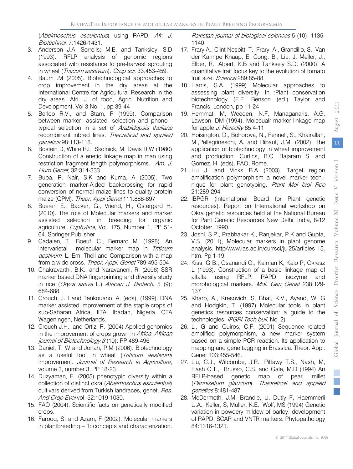(Abelmoschus esculentus) using RAPD, Afr. J. Biotechnol. 7:1426-1431.

- 3. Anderson J.A, Sorrells; M.E. and Tanksley, S.D (1993). RFLP analysis of genomic regions associated with resistance to pre-harvest sprouting in wheat (Triticum aestivum). Crop sci, 33:453-459.
- 4. Baum .M (2005). Biotechnological approaches to crop improvement in the dry areas at the International Centre for Agricultural Research in the dry areas. Afri. J. of food, Agric. Nutrition and Development, Vol 3 No. 1, pp 39-44
- 5. Berloo R.V., and Stam, P (1999), Comparison between marker - assisted selection and phonotypical selection in a set of Arabidopsis thaliana recombinant inbred lines. Theoretical and applied genetics 98:113-118.
- 6. Bostein D, White R.L, Skolnick, M, Davis R.W (1980) Construction of a enetic linkage map in man using restriction fragment length polymorphisms. Am. J. Hum Genet, 32:314-333
- 7. Buba, R. Nair, S.K and Kuma, A (2005). Two generation marker-Aided backcrossing for rapid conversion of normal maize lines to quality protein maize (QPM). Theor. Appl Genet 111:888-897
- 8. Bueren E., Backer, G., Vriend, H., Ostergard H. (2010). The role of Molecular markers and marker assisted selection in breeding for organic agriculture. Euphytica, Vol. 175, Number 1, PP 51-64. Springer Publisher
- 9. Cadalen, T., Boeuf, C., Bernard M. (1998). An intervarietal molecular marker map in Triticum aestivum. L. Em. Thell and Comparison with a map from a wide cross. Theor. Appl. Genet 789:495-504
- 10. Chakravarthi, B.K., and Naravaneni, R. (2006) SSR marker based DNA fingerprinting and diversity study in rice (Oryza sativa L.) African J. Biotech. 5 (9): 684-688
- 11. Crouch, J.H and Tenkouano, A. (eds), (1999). DNA marker assisted Improvement of the staple crops of sub-Saharan Africa, IITA, Ibadan, Nigeria. CTA Wageningen, Netherlands.
- 12. Crouch J.H., and Ortiz, R. (2004) Applied genomics in the improvement of crops grown in Africa. African journal of Biotechnology 3 (10): PP 489-496
- 13. Daniel, T. W and Jonah, P.M (2006). Biotechnology as a useful tool in wheat (Triticum aestivum) improvement. Journal of Research in Agriculture, volume 3, number 3, PP 18-23
- 14. Duzyaman, E. (2005) phenotypic diversity within a collection of distinct okra (Abelmoschus esculentus) cultivars derived from Turkish landraces, genet. Res. And Crop Evol vol. 52:1019-1030.
- 15. FAO (2004). Scientific facts on genetically modified crops.
- 16. Farooq, S; and Azam, F (2002). Molecular markers in plantbreeding – 1: concepts and characterization.

Pakistan journal of biological sciences 5 (10): 1135-1140.

- 17. Frary A., Clint Nesbitt, T., Frary, A., Grandillo, S., Van der Kannpe Knaap, E, Cong, B., Liu, J. Meller, J., Elber, R., Alpert, K.B and Tanksely S.D. (2000), A quantitative trait locus key to the evolution of tomato fruit size. Science 289:85-88
- 18. Harris, S.A. (1999) Molecular approaches to assessing plant diversity. In :Plant conservation biotechnology (E.E. Benson (ed.) Taylor and Francis, London, pp 11-24
- 19. Hemmat, M, Weeden, N.F, Managanaris, A.G, Lawson, DM (1994). Molecualr marker linkage map for apple J. Heredity 85:4-11
- 20. Hoisington, D., Bohorova, N., Fennell, S., Khairallah, M.,Pellegrineschi, A. and Ribaut, J.M, (2002). The application of biotechnology in wheat improvement and production. Curtics, B.C. Rajaram S. and Gomez, H. (eds). FAO, Rome.
- 21. Hu J. and Vicks B.A (2003). Target region amplification polymorphism a novel marker tech nique for plant genotyping. Plant Mol biol Rep 21:289-294
- 22. IBPGR (International Board for Plant genetic resources). Report on International workshop on Okra genetic resources held at the National Bureau for Pant Genetic Resources New Delhi, India, 8-12 October, 1990.
- 23. Joshi, S.P., Prabhakar K., Ranjekar, P.K and Gupta, V.S. (2011), Molecular markers in plant genome analysis. http/www.ias.ac.in/currsci/jul25/articles 15. htm. Pp 1-19
- 24. Kiss, G B., Osanandi G., Kalman K, Kalo P, Okresz L (1993). Construction of a basic linkage map of alfalfa using RFLP. RAPD, isozyme and morphological markers. Mol. Gen Genet 238:129- 137
- 25. Kharp, A., Kresovich, S, Bhat, K.V., Ayand, W. G and Hodgkin, T. (1997) Molecular tools in plant genetics resources conservation: a guide to the technologies, IPGRI Tech bull. No. 2)
- 26. Li, G and Quiros, C.F. (2001) Sequence related amplified polymorphism, a new marker system based on a simple PCR reaction. Its application to mapping and gene tagging in Brassica. Theor. Appl. Genet 103:455-546.
- genetics 8:481-487 27. Liu, C.J., Witcombe, J.R., Pittawy T.S., Nash, M, Hash C.T., Brusso, C.S. and Gale, M.D (1994) An RFLP-based genetic map of pearl millet (Pennisetum glaucum). Theoretical and applied
- 28. McDermoth, J.M, Brandle, U. Dutly F, Haemmerli U.A., Keller, S, Muller, K.E., Wolf, MS (1994) Genetic variation in powdery mildew of barley: development of RAPD, SCAR and VNTR markers. Phytopathology 84:1316-1321.

11